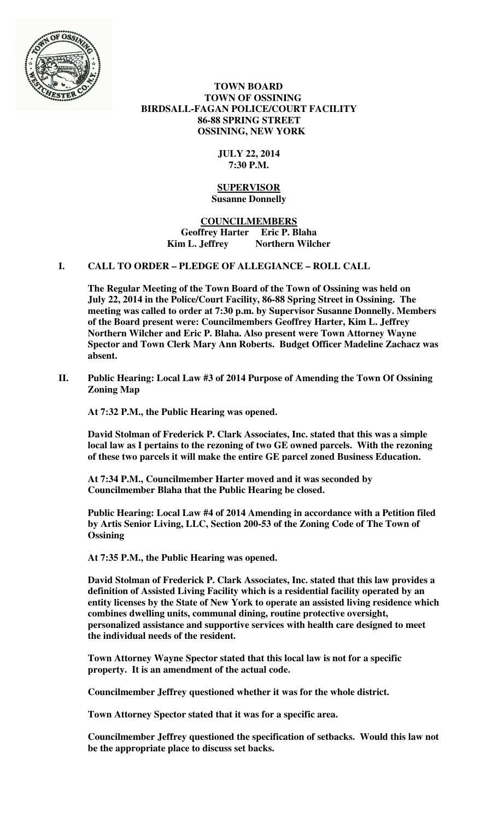

 **TOWN BOARD TOWN OF OSSINING BIRDSALL-FAGAN POLICE/COURT FACILITY 86-88 SPRING STREET OSSINING, NEW YORK** 

# **JULY 22, 2014 7:30 P.M.**

#### **SUPERVISOR Susanne Donnelly**

# **COUNCILMEMBERS Geoffrey Harter Eric P. Blaha**  Kim L. Jeffrey Northern Wilcher

# **I. CALL TO ORDER – PLEDGE OF ALLEGIANCE – ROLL CALL**

**The Regular Meeting of the Town Board of the Town of Ossining was held on July 22, 2014 in the Police/Court Facility, 86-88 Spring Street in Ossining. The meeting was called to order at 7:30 p.m. by Supervisor Susanne Donnelly. Members of the Board present were: Councilmembers Geoffrey Harter, Kim L. Jeffrey Northern Wilcher and Eric P. Blaha. Also present were Town Attorney Wayne Spector and Town Clerk Mary Ann Roberts. Budget Officer Madeline Zachacz was absent.** 

**II. Public Hearing: Local Law #3 of 2014 Purpose of Amending the Town Of Ossining Zoning Map** 

**At 7:32 P.M., the Public Hearing was opened.** 

**David Stolman of Frederick P. Clark Associates, Inc. stated that this was a simple local law as I pertains to the rezoning of two GE owned parcels. With the rezoning of these two parcels it will make the entire GE parcel zoned Business Education.** 

**At 7:34 P.M., Councilmember Harter moved and it was seconded by Councilmember Blaha that the Public Hearing be closed.** 

**Public Hearing: Local Law #4 of 2014 Amending in accordance with a Petition filed by Artis Senior Living, LLC, Section 200-53 of the Zoning Code of The Town of Ossining** 

**At 7:35 P.M., the Public Hearing was opened.** 

**David Stolman of Frederick P. Clark Associates, Inc. stated that this law provides a definition of Assisted Living Facility which is a residential facility operated by an entity licenses by the State of New York to operate an assisted living residence which combines dwelling units, communal dining, routine protective oversight, personalized assistance and supportive services with health care designed to meet the individual needs of the resident.** 

**Town Attorney Wayne Spector stated that this local law is not for a specific property. It is an amendment of the actual code.** 

**Councilmember Jeffrey questioned whether it was for the whole district.** 

**Town Attorney Spector stated that it was for a specific area.** 

**Councilmember Jeffrey questioned the specification of setbacks. Would this law not be the appropriate place to discuss set backs.**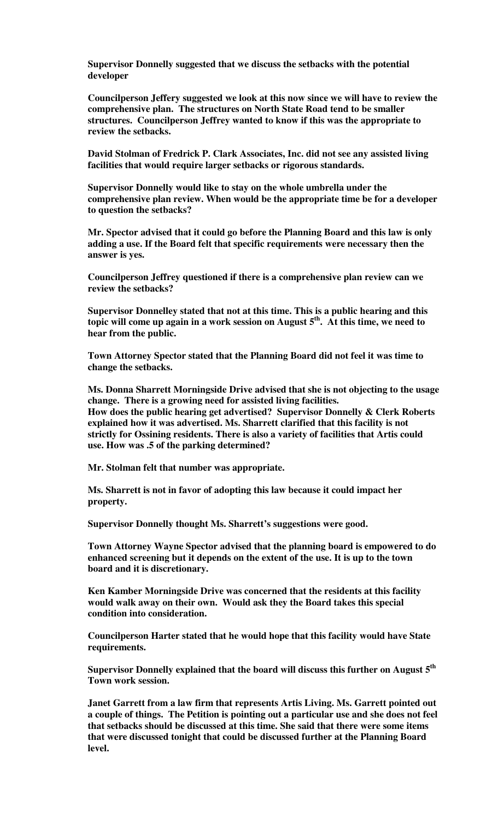**Supervisor Donnelly suggested that we discuss the setbacks with the potential developer** 

**Councilperson Jeffery suggested we look at this now since we will have to review the comprehensive plan. The structures on North State Road tend to be smaller structures. Councilperson Jeffrey wanted to know if this was the appropriate to review the setbacks.** 

**David Stolman of Fredrick P. Clark Associates, Inc. did not see any assisted living facilities that would require larger setbacks or rigorous standards.** 

**Supervisor Donnelly would like to stay on the whole umbrella under the comprehensive plan review. When would be the appropriate time be for a developer to question the setbacks?** 

**Mr. Spector advised that it could go before the Planning Board and this law is only adding a use. If the Board felt that specific requirements were necessary then the answer is yes.** 

**Councilperson Jeffrey questioned if there is a comprehensive plan review can we review the setbacks?** 

**Supervisor Donnelley stated that not at this time. This is a public hearing and this topic will come up again in a work session on August 5th. At this time, we need to hear from the public.** 

**Town Attorney Spector stated that the Planning Board did not feel it was time to change the setbacks.** 

**Ms. Donna Sharrett Morningside Drive advised that she is not objecting to the usage change. There is a growing need for assisted living facilities. How does the public hearing get advertised? Supervisor Donnelly & Clerk Roberts explained how it was advertised. Ms. Sharrett clarified that this facility is not strictly for Ossining residents. There is also a variety of facilities that Artis could use. How was .5 of the parking determined?** 

**Mr. Stolman felt that number was appropriate.** 

**Ms. Sharrett is not in favor of adopting this law because it could impact her property.** 

**Supervisor Donnelly thought Ms. Sharrett's suggestions were good.** 

**Town Attorney Wayne Spector advised that the planning board is empowered to do enhanced screening but it depends on the extent of the use. It is up to the town board and it is discretionary.** 

**Ken Kamber Morningside Drive was concerned that the residents at this facility would walk away on their own. Would ask they the Board takes this special condition into consideration.** 

**Councilperson Harter stated that he would hope that this facility would have State requirements.** 

**Supervisor Donnelly explained that the board will discuss this further on August 5th Town work session.** 

**Janet Garrett from a law firm that represents Artis Living. Ms. Garrett pointed out a couple of things. The Petition is pointing out a particular use and she does not feel that setbacks should be discussed at this time. She said that there were some items that were discussed tonight that could be discussed further at the Planning Board level.**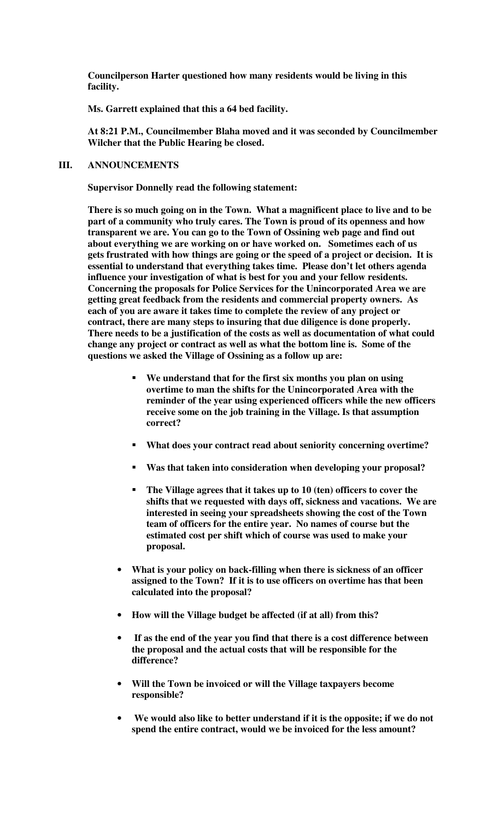**Councilperson Harter questioned how many residents would be living in this facility.** 

**Ms. Garrett explained that this a 64 bed facility.** 

**At 8:21 P.M., Councilmember Blaha moved and it was seconded by Councilmember Wilcher that the Public Hearing be closed.**

# **III. ANNOUNCEMENTS**

**Supervisor Donnelly read the following statement:** 

**There is so much going on in the Town. What a magnificent place to live and to be part of a community who truly cares. The Town is proud of its openness and how transparent we are. You can go to the Town of Ossining web page and find out about everything we are working on or have worked on. Sometimes each of us gets frustrated with how things are going or the speed of a project or decision. It is essential to understand that everything takes time. Please don't let others agenda influence your investigation of what is best for you and your fellow residents. Concerning the proposals for Police Services for the Unincorporated Area we are getting great feedback from the residents and commercial property owners. As each of you are aware it takes time to complete the review of any project or contract, there are many steps to insuring that due diligence is done properly. There needs to be a justification of the costs as well as documentation of what could change any project or contract as well as what the bottom line is. Some of the questions we asked the Village of Ossining as a follow up are:** 

- **We understand that for the first six months you plan on using overtime to man the shifts for the Unincorporated Area with the reminder of the year using experienced officers while the new officers receive some on the job training in the Village. Is that assumption correct?**
- **What does your contract read about seniority concerning overtime?**
- **Was that taken into consideration when developing your proposal?**
- **The Village agrees that it takes up to 10 (ten) officers to cover the shifts that we requested with days off, sickness and vacations. We are interested in seeing your spreadsheets showing the cost of the Town team of officers for the entire year. No names of course but the estimated cost per shift which of course was used to make your proposal.**
- **What is your policy on back-filling when there is sickness of an officer assigned to the Town? If it is to use officers on overtime has that been calculated into the proposal?**
- **How will the Village budget be affected (if at all) from this?**
- • **If as the end of the year you find that there is a cost difference between the proposal and the actual costs that will be responsible for the difference?**
- **Will the Town be invoiced or will the Village taxpayers become responsible?**
- • **We would also like to better understand if it is the opposite; if we do not spend the entire contract, would we be invoiced for the less amount?**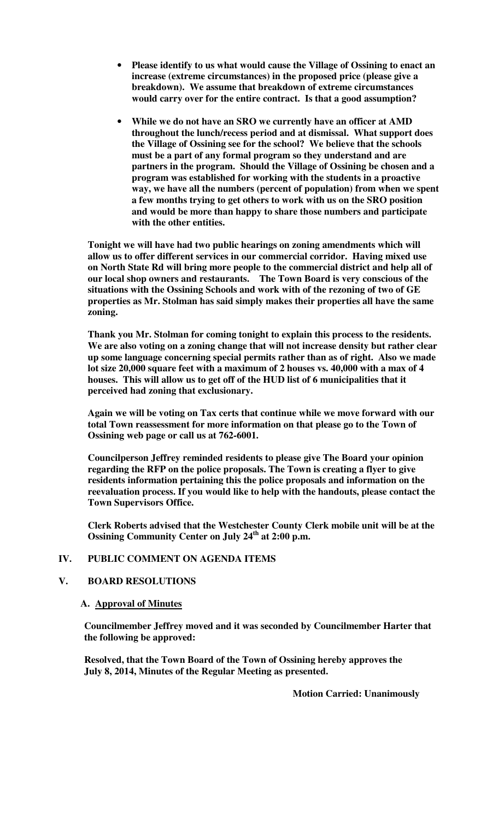- **Please identify to us what would cause the Village of Ossining to enact an increase (extreme circumstances) in the proposed price (please give a breakdown). We assume that breakdown of extreme circumstances would carry over for the entire contract. Is that a good assumption?**
- **While we do not have an SRO we currently have an officer at AMD throughout the lunch/recess period and at dismissal. What support does the Village of Ossining see for the school? We believe that the schools must be a part of any formal program so they understand and are partners in the program. Should the Village of Ossining be chosen and a program was established for working with the students in a proactive way, we have all the numbers (percent of population) from when we spent a few months trying to get others to work with us on the SRO position and would be more than happy to share those numbers and participate with the other entities.**

**Tonight we will have had two public hearings on zoning amendments which will allow us to offer different services in our commercial corridor. Having mixed use on North State Rd will bring more people to the commercial district and help all of our local shop owners and restaurants. The Town Board is very conscious of the situations with the Ossining Schools and work with of the rezoning of two of GE properties as Mr. Stolman has said simply makes their properties all have the same zoning.** 

**Thank you Mr. Stolman for coming tonight to explain this process to the residents. We are also voting on a zoning change that will not increase density but rather clear up some language concerning special permits rather than as of right. Also we made lot size 20,000 square feet with a maximum of 2 houses vs. 40,000 with a max of 4 houses. This will allow us to get off of the HUD list of 6 municipalities that it perceived had zoning that exclusionary.** 

**Again we will be voting on Tax certs that continue while we move forward with our total Town reassessment for more information on that please go to the Town of Ossining web page or call us at 762-6001.** 

**Councilperson Jeffrey reminded residents to please give The Board your opinion regarding the RFP on the police proposals. The Town is creating a flyer to give residents information pertaining this the police proposals and information on the reevaluation process. If you would like to help with the handouts, please contact the Town Supervisors Office.** 

**Clerk Roberts advised that the Westchester County Clerk mobile unit will be at the Ossining Community Center on July 24th at 2:00 p.m.** 

# **IV. PUBLIC COMMENT ON AGENDA ITEMS**

# **V. BOARD RESOLUTIONS**

## **A. Approval of Minutes**

**Councilmember Jeffrey moved and it was seconded by Councilmember Harter that the following be approved:** 

**Resolved, that the Town Board of the Town of Ossining hereby approves the July 8, 2014, Minutes of the Regular Meeting as presented.** 

 **Motion Carried: Unanimously**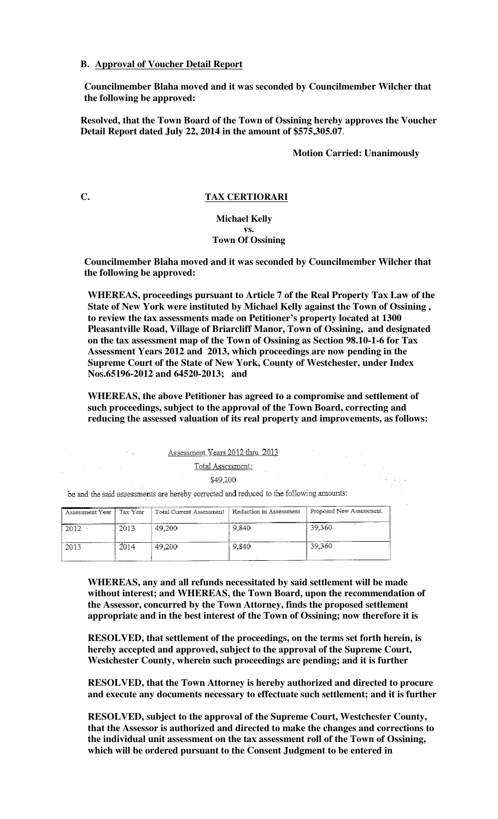## **B. Approval of Voucher Detail Report**

**Councilmember Blaha moved and it was seconded by Councilmember Wilcher that the following be approved:** 

**Resolved, that the Town Board of the Town of Ossining hereby approves the Voucher Detail Report dated July 22, 2014 in the amount of \$575,305.07**.

**Motion Carried: Unanimously** 

# **C. TAX CERTIORARI**

#### **Michael Kelly vs. Town Of Ossining**

**Councilmember Blaha moved and it was seconded by Councilmember Wilcher that the following be approved:** 

**WHEREAS, proceedings pursuant to Article 7 of the Real Property Tax Law of the State of New York were instituted by Michael Kelly against the Town of Ossining , to review the tax assessments made on Petitioner's property located at 1300 Pleasantville Road, Village of Briarcliff Manor, Town of Ossining, and designated on the tax assessment map of the Town of Ossining as Section 98.10-1-6 for Tax Assessment Years 2012 and 2013, which proceedings are now pending in the Supreme Court of the State of New York, County of Westchester, under Index Nos.65196-2012 and 64520-2013; and** 

**WHEREAS, the above Petitioner has agreed to a compromise and settlement of such proceedings, subject to the approval of the Town Board, correcting and reducing the assessed valuation of its real property and improvements, as follows:** 

Assessment Years 2012 thru 2013

Total Assessment:<br>\$49.200

\$49,200

be and the said assessments are hereby corrected and reduced to the following amounts:

 $\sim 20\, \mu$  m  $^{-1}$ 

| Assessment Year | Tax Year | Total Current Assessment | Reduction in Assessment | Proposed New Assessment |
|-----------------|----------|--------------------------|-------------------------|-------------------------|
| 2012            | 2013     | 49,200                   | 9.840                   | 39.360                  |
| 2013            | 2014     | 49,200                   | 9.840                   | 39.360                  |

**WHEREAS, any and all refunds necessitated by said settlement will be made without interest; and WHEREAS, the Town Board, upon the recommendation of the Assessor, concurred by the Town Attorney, finds the proposed settlement appropriate and in the best interest of the Town of Ossining; now therefore it is** 

**RESOLVED, that settlement of the proceedings, on the terms set forth herein, is hereby accepted and approved, subject to the approval of the Supreme Court, Westchester County, wherein such proceedings are pending; and it is further** 

**RESOLVED, that the Town Attorney is hereby authorized and directed to procure and execute any documents necessary to effectuate such settlement; and it is further** 

**RESOLVED, subject to the approval of the Supreme Court, Westchester County, that the Assessor is authorized and directed to make the changes and corrections to the individual unit assessment on the tax assessment roll of the Town of Ossining, which will be ordered pursuant to the Consent Judgment to be entered in**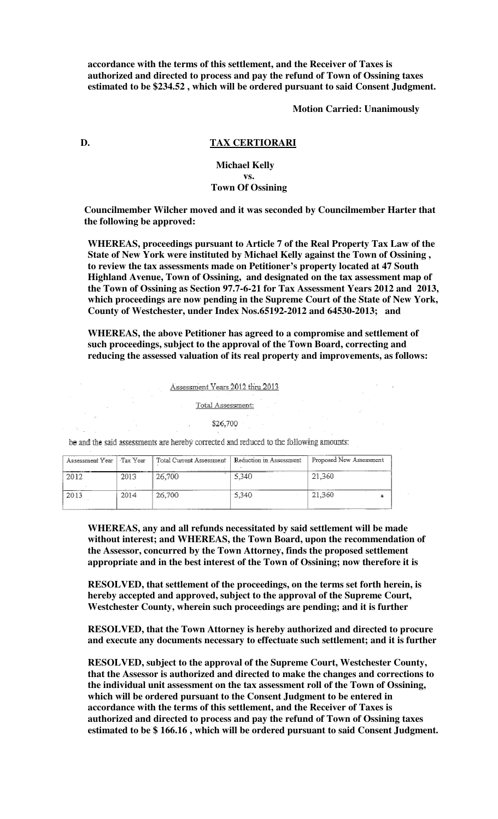**accordance with the terms of this settlement, and the Receiver of Taxes is authorized and directed to process and pay the refund of Town of Ossining taxes estimated to be \$234.52 , which will be ordered pursuant to said Consent Judgment.** 

**Motion Carried: Unanimously**

#### **D. TAX CERTIORARI**

# **Michael Kelly vs. Town Of Ossining**

**Councilmember Wilcher moved and it was seconded by Councilmember Harter that the following be approved:** 

**WHEREAS, proceedings pursuant to Article 7 of the Real Property Tax Law of the State of New York were instituted by Michael Kelly against the Town of Ossining , to review the tax assessments made on Petitioner's property located at 47 South Highland Avenue, Town of Ossining, and designated on the tax assessment map of the Town of Ossining as Section 97.7-6-21 for Tax Assessment Years 2012 and 2013, which proceedings are now pending in the Supreme Court of the State of New York, County of Westchester, under Index Nos.65192-2012 and 64530-2013; and** 

**WHEREAS, the above Petitioner has agreed to a compromise and settlement of such proceedings, subject to the approval of the Town Board, correcting and reducing the assessed valuation of its real property and improvements, as follows:** 

Assessment Years 2012 thru 2013

Total Assessment:

\$26,700

be and the said assessments are hereby corrected and reduced to the following amounts:

| Assessment Year | Tax Year                                 | Total Current Assessment | Reduction in Assessment | Proposed New Assessment |
|-----------------|------------------------------------------|--------------------------|-------------------------|-------------------------|
| 2012            | 2013                                     | 26,700                   | .<br>5,340              | 21.360                  |
| 2013            | the to the company's transporter<br>2014 | 26,700                   | 5.340                   | 21.360                  |

**WHEREAS, any and all refunds necessitated by said settlement will be made without interest; and WHEREAS, the Town Board, upon the recommendation of the Assessor, concurred by the Town Attorney, finds the proposed settlement appropriate and in the best interest of the Town of Ossining; now therefore it is** 

**RESOLVED, that settlement of the proceedings, on the terms set forth herein, is hereby accepted and approved, subject to the approval of the Supreme Court, Westchester County, wherein such proceedings are pending; and it is further** 

**RESOLVED, that the Town Attorney is hereby authorized and directed to procure and execute any documents necessary to effectuate such settlement; and it is further** 

**RESOLVED, subject to the approval of the Supreme Court, Westchester County, that the Assessor is authorized and directed to make the changes and corrections to the individual unit assessment on the tax assessment roll of the Town of Ossining, which will be ordered pursuant to the Consent Judgment to be entered in accordance with the terms of this settlement, and the Receiver of Taxes is authorized and directed to process and pay the refund of Town of Ossining taxes estimated to be \$ 166.16 , which will be ordered pursuant to said Consent Judgment.**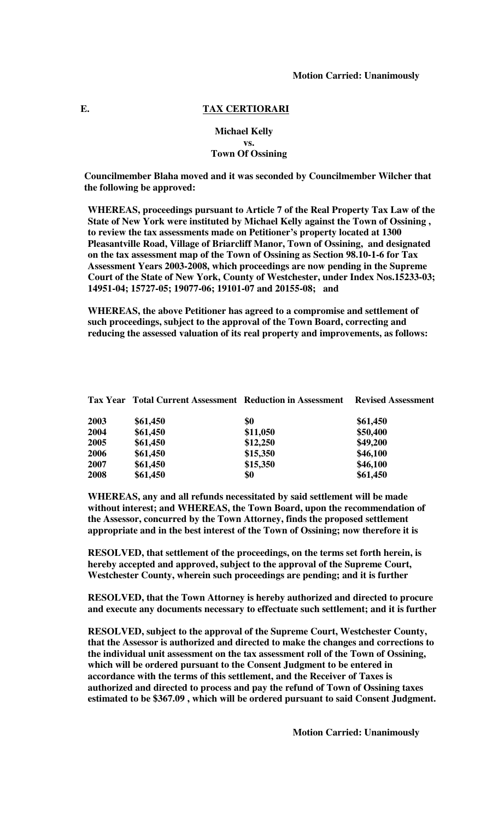#### **E. TAX CERTIORARI**

## **Michael Kelly vs. Town Of Ossining**

**Councilmember Blaha moved and it was seconded by Councilmember Wilcher that the following be approved:** 

**WHEREAS, proceedings pursuant to Article 7 of the Real Property Tax Law of the State of New York were instituted by Michael Kelly against the Town of Ossining , to review the tax assessments made on Petitioner's property located at 1300 Pleasantville Road, Village of Briarcliff Manor, Town of Ossining, and designated on the tax assessment map of the Town of Ossining as Section 98.10-1-6 for Tax Assessment Years 2003-2008, which proceedings are now pending in the Supreme Court of the State of New York, County of Westchester, under Index Nos.15233-03; 14951-04; 15727-05; 19077-06; 19101-07 and 20155-08; and** 

**WHEREAS, the above Petitioner has agreed to a compromise and settlement of such proceedings, subject to the approval of the Town Board, correcting and reducing the assessed valuation of its real property and improvements, as follows:** 

| 2003 | \$61,450 | \$0      | \$61,450 |
|------|----------|----------|----------|
| 2004 | \$61,450 | \$11,050 | \$50,400 |
| 2005 | \$61,450 | \$12,250 | \$49,200 |
| 2006 | \$61,450 | \$15,350 | \$46,100 |
| 2007 | \$61,450 | \$15,350 | \$46,100 |
| 2008 | \$61,450 | \$0      | \$61,450 |
|      |          |          |          |

**Tax Year Total Current Assessment Reduction in Assessment Revised Assessment** 

**WHEREAS, any and all refunds necessitated by said settlement will be made without interest; and WHEREAS, the Town Board, upon the recommendation of the Assessor, concurred by the Town Attorney, finds the proposed settlement appropriate and in the best interest of the Town of Ossining; now therefore it is** 

**RESOLVED, that settlement of the proceedings, on the terms set forth herein, is hereby accepted and approved, subject to the approval of the Supreme Court, Westchester County, wherein such proceedings are pending; and it is further** 

**RESOLVED, that the Town Attorney is hereby authorized and directed to procure and execute any documents necessary to effectuate such settlement; and it is further** 

**RESOLVED, subject to the approval of the Supreme Court, Westchester County, that the Assessor is authorized and directed to make the changes and corrections to the individual unit assessment on the tax assessment roll of the Town of Ossining, which will be ordered pursuant to the Consent Judgment to be entered in accordance with the terms of this settlement, and the Receiver of Taxes is authorized and directed to process and pay the refund of Town of Ossining taxes estimated to be \$367.09 , which will be ordered pursuant to said Consent Judgment.** 

 **Motion Carried: Unanimously**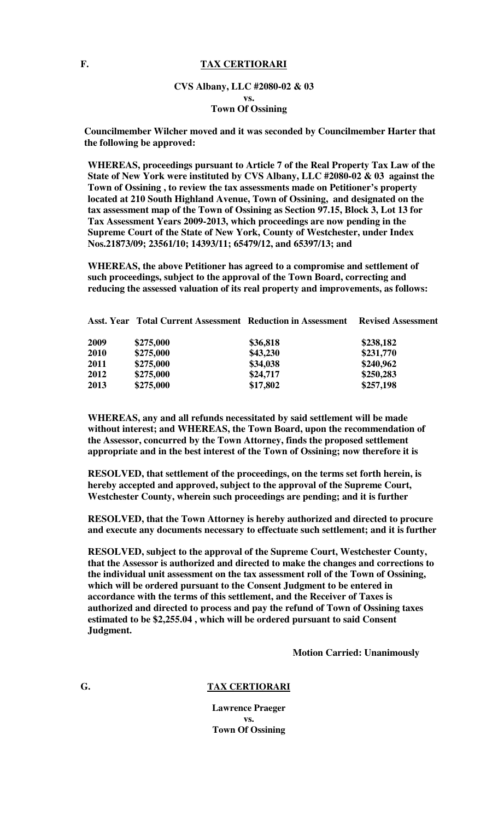## **F. TAX CERTIORARI**

## **CVS Albany, LLC #2080-02 & 03 vs. Town Of Ossining**

**Councilmember Wilcher moved and it was seconded by Councilmember Harter that the following be approved:** 

**WHEREAS, proceedings pursuant to Article 7 of the Real Property Tax Law of the State of New York were instituted by CVS Albany, LLC #2080-02 & 03 against the Town of Ossining , to review the tax assessments made on Petitioner's property located at 210 South Highland Avenue, Town of Ossining, and designated on the tax assessment map of the Town of Ossining as Section 97.15, Block 3, Lot 13 for Tax Assessment Years 2009-2013, which proceedings are now pending in the Supreme Court of the State of New York, County of Westchester, under Index Nos.21873/09; 23561/10; 14393/11; 65479/12, and 65397/13; and** 

**WHEREAS, the above Petitioner has agreed to a compromise and settlement of such proceedings, subject to the approval of the Town Board, correcting and reducing the assessed valuation of its real property and improvements, as follows:** 

|      | <b>Asst. Year Total Current Assessment Reduction in Assessment</b> |          | <b>Revised Assessment</b> |
|------|--------------------------------------------------------------------|----------|---------------------------|
| 2009 | \$275,000                                                          | \$36,818 | \$238,182                 |
| 2010 | \$275,000                                                          | \$43,230 | \$231,770                 |
| 2011 | \$275,000                                                          | \$34,038 | \$240,962                 |
| 2012 | \$275,000                                                          | \$24,717 | \$250,283                 |
| 2013 | \$275,000                                                          | \$17,802 | \$257,198                 |
|      |                                                                    |          |                           |

**WHEREAS, any and all refunds necessitated by said settlement will be made without interest; and WHEREAS, the Town Board, upon the recommendation of the Assessor, concurred by the Town Attorney, finds the proposed settlement appropriate and in the best interest of the Town of Ossining; now therefore it is** 

**RESOLVED, that settlement of the proceedings, on the terms set forth herein, is hereby accepted and approved, subject to the approval of the Supreme Court, Westchester County, wherein such proceedings are pending; and it is further** 

**RESOLVED, that the Town Attorney is hereby authorized and directed to procure and execute any documents necessary to effectuate such settlement; and it is further** 

**RESOLVED, subject to the approval of the Supreme Court, Westchester County, that the Assessor is authorized and directed to make the changes and corrections to the individual unit assessment on the tax assessment roll of the Town of Ossining, which will be ordered pursuant to the Consent Judgment to be entered in accordance with the terms of this settlement, and the Receiver of Taxes is authorized and directed to process and pay the refund of Town of Ossining taxes estimated to be \$2,255.04 , which will be ordered pursuant to said Consent Judgment.** 

**Motion Carried: Unanimously**

# **G. TAX CERTIORARI**

**Lawrence Praeger vs. Town Of Ossining**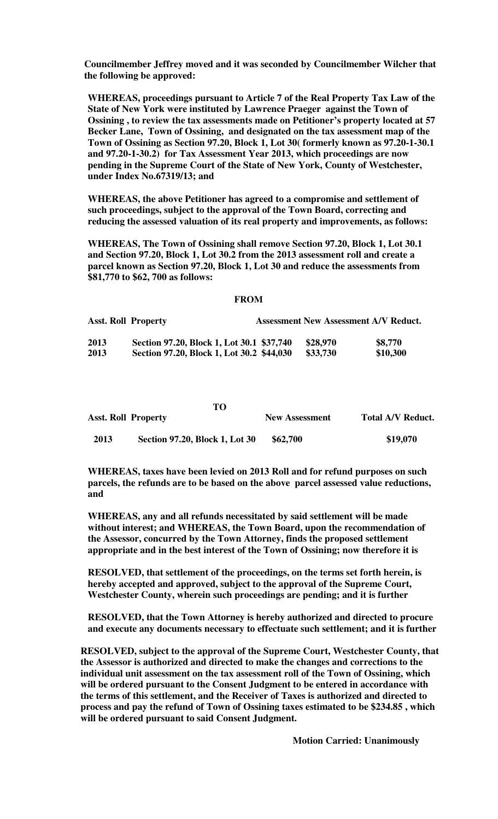**Councilmember Jeffrey moved and it was seconded by Councilmember Wilcher that the following be approved:** 

**WHEREAS, proceedings pursuant to Article 7 of the Real Property Tax Law of the State of New York were instituted by Lawrence Praeger against the Town of Ossining , to review the tax assessments made on Petitioner's property located at 57 Becker Lane, Town of Ossining, and designated on the tax assessment map of the Town of Ossining as Section 97.20, Block 1, Lot 30( formerly known as 97.20-1-30.1 and 97.20-1-30.2) for Tax Assessment Year 2013, which proceedings are now pending in the Supreme Court of the State of New York, County of Westchester, under Index No.67319/13; and** 

**WHEREAS, the above Petitioner has agreed to a compromise and settlement of such proceedings, subject to the approval of the Town Board, correcting and reducing the assessed valuation of its real property and improvements, as follows:** 

**WHEREAS, The Town of Ossining shall remove Section 97.20, Block 1, Lot 30.1 and Section 97.20, Block 1, Lot 30.2 from the 2013 assessment roll and create a parcel known as Section 97.20, Block 1, Lot 30 and reduce the assessments from \$81,770 to \$62, 700 as follows:** 

#### **FROM**

| <b>Asst. Roll Property</b> |                                           | <b>Assessment New Assessment A/V Reduct.</b> |          |
|----------------------------|-------------------------------------------|----------------------------------------------|----------|
| 2013                       | Section 97.20, Block 1, Lot 30.1 \$37,740 | \$28,970                                     | \$8,770  |
| 2013                       | Section 97.20, Block 1, Lot 30.2 \$44,030 | \$33,730                                     | \$10,300 |

|                            | то                             |                       |                          |
|----------------------------|--------------------------------|-----------------------|--------------------------|
| <b>Asst. Roll Property</b> |                                | <b>New Assessment</b> | <b>Total A/V Reduct.</b> |
| 2013                       | Section 97.20, Block 1, Lot 30 | \$62,700              | \$19,070                 |

**WHEREAS, taxes have been levied on 2013 Roll and for refund purposes on such parcels, the refunds are to be based on the above parcel assessed value reductions, and** 

**WHEREAS, any and all refunds necessitated by said settlement will be made without interest; and WHEREAS, the Town Board, upon the recommendation of the Assessor, concurred by the Town Attorney, finds the proposed settlement appropriate and in the best interest of the Town of Ossining; now therefore it is** 

**RESOLVED, that settlement of the proceedings, on the terms set forth herein, is hereby accepted and approved, subject to the approval of the Supreme Court, Westchester County, wherein such proceedings are pending; and it is further** 

**RESOLVED, that the Town Attorney is hereby authorized and directed to procure and execute any documents necessary to effectuate such settlement; and it is further** 

**RESOLVED, subject to the approval of the Supreme Court, Westchester County, that the Assessor is authorized and directed to make the changes and corrections to the individual unit assessment on the tax assessment roll of the Town of Ossining, which will be ordered pursuant to the Consent Judgment to be entered in accordance with the terms of this settlement, and the Receiver of Taxes is authorized and directed to process and pay the refund of Town of Ossining taxes estimated to be \$234.85 , which will be ordered pursuant to said Consent Judgment.**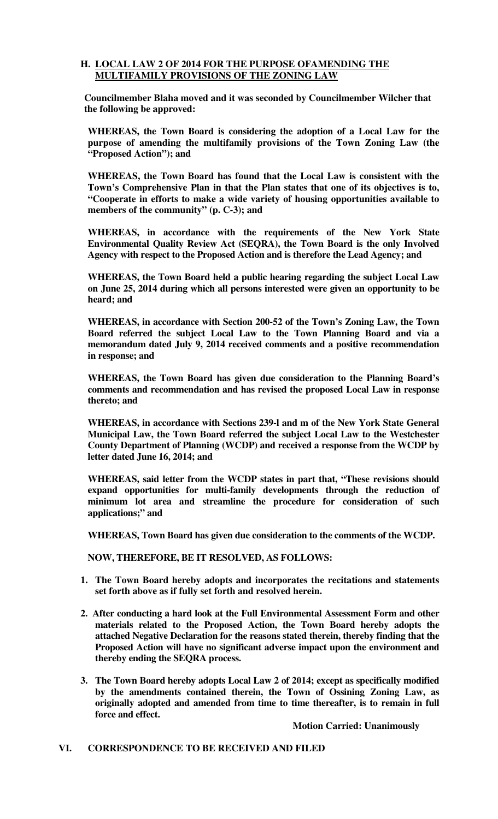# **H. LOCAL LAW 2 OF 2014 FOR THE PURPOSE OFAMENDING THE MULTIFAMILY PROVISIONS OF THE ZONING LAW**

**Councilmember Blaha moved and it was seconded by Councilmember Wilcher that the following be approved:** 

**WHEREAS, the Town Board is considering the adoption of a Local Law for the purpose of amending the multifamily provisions of the Town Zoning Law (the "Proposed Action"); and** 

**WHEREAS, the Town Board has found that the Local Law is consistent with the Town's Comprehensive Plan in that the Plan states that one of its objectives is to, "Cooperate in efforts to make a wide variety of housing opportunities available to members of the community" (p. C-3); and** 

**WHEREAS, in accordance with the requirements of the New York State Environmental Quality Review Act (SEQRA), the Town Board is the only Involved Agency with respect to the Proposed Action and is therefore the Lead Agency; and** 

**WHEREAS, the Town Board held a public hearing regarding the subject Local Law on June 25, 2014 during which all persons interested were given an opportunity to be heard; and** 

**WHEREAS, in accordance with Section 200-52 of the Town's Zoning Law, the Town Board referred the subject Local Law to the Town Planning Board and via a memorandum dated July 9, 2014 received comments and a positive recommendation in response; and** 

**WHEREAS, the Town Board has given due consideration to the Planning Board's comments and recommendation and has revised the proposed Local Law in response thereto; and** 

**WHEREAS, in accordance with Sections 239-l and m of the New York State General Municipal Law, the Town Board referred the subject Local Law to the Westchester County Department of Planning (WCDP) and received a response from the WCDP by letter dated June 16, 2014; and** 

**WHEREAS, said letter from the WCDP states in part that, "These revisions should expand opportunities for multi-family developments through the reduction of minimum lot area and streamline the procedure for consideration of such applications;" and** 

 **WHEREAS, Town Board has given due consideration to the comments of the WCDP.** 

 **NOW, THEREFORE, BE IT RESOLVED, AS FOLLOWS:** 

- **1. The Town Board hereby adopts and incorporates the recitations and statements set forth above as if fully set forth and resolved herein.**
- **2. After conducting a hard look at the Full Environmental Assessment Form and other materials related to the Proposed Action, the Town Board hereby adopts the attached Negative Declaration for the reasons stated therein, thereby finding that the Proposed Action will have no significant adverse impact upon the environment and thereby ending the SEQRA process.**
- **3. The Town Board hereby adopts Local Law 2 of 2014; except as specifically modified by the amendments contained therein, the Town of Ossining Zoning Law, as originally adopted and amended from time to time thereafter, is to remain in full force and effect.**

**Motion Carried: Unanimously** 

## **VI. CORRESPONDENCE TO BE RECEIVED AND FILED**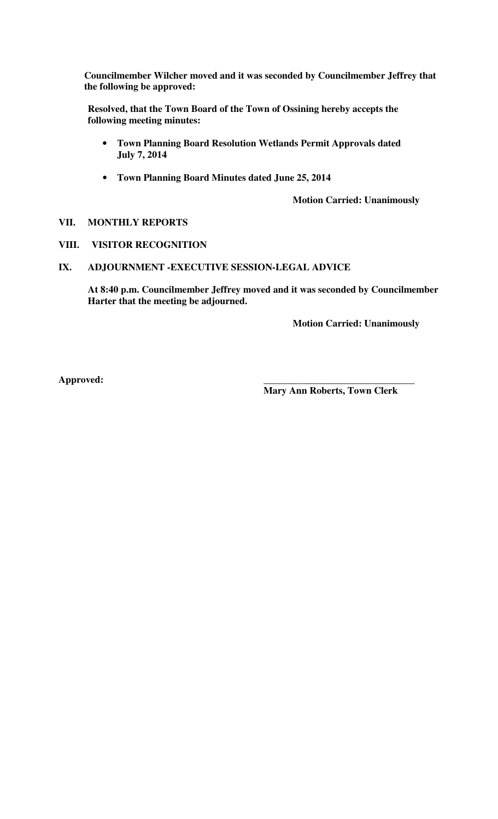**Councilmember Wilcher moved and it was seconded by Councilmember Jeffrey that the following be approved:** 

**Resolved, that the Town Board of the Town of Ossining hereby accepts the following meeting minutes:** 

- **Town Planning Board Resolution Wetlands Permit Approvals dated July 7, 2014**
- **Town Planning Board Minutes dated June 25, 2014**

**Motion Carried: Unanimously** 

- **VII. MONTHLY REPORTS**
- **VIII. VISITOR RECOGNITION**
- **IX. ADJOURNMENT -EXECUTIVE SESSION-LEGAL ADVICE**

**At 8:40 p.m. Councilmember Jeffrey moved and it was seconded by Councilmember Harter that the meeting be adjourned.** 

**Motion Carried: Unanimously** 

**Approved: \_\_\_\_\_\_\_\_\_\_\_\_\_\_\_\_\_\_\_\_\_\_\_\_\_\_\_\_\_\_\_** 

 **Mary Ann Roberts, Town Clerk**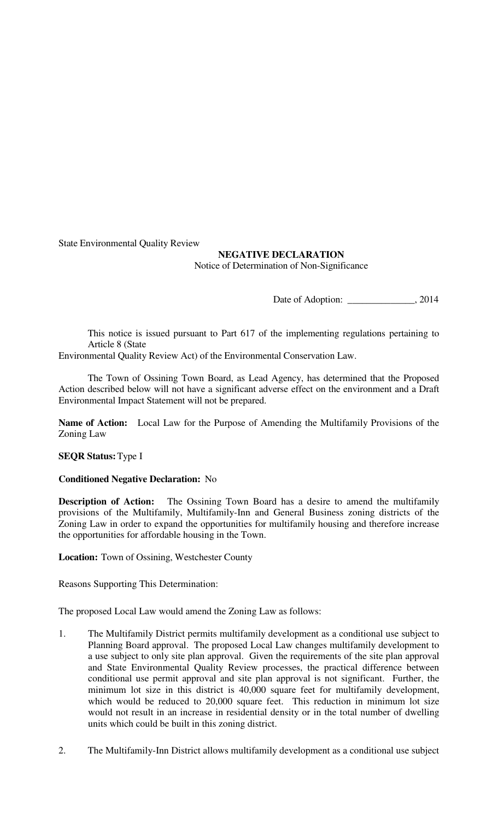State Environmental Quality Review

# **NEGATIVE DECLARATION**  Notice of Determination of Non-Significance

Date of Adoption: \_\_\_\_\_\_\_\_\_\_\_\_\_, 2014

 This notice is issued pursuant to Part 617 of the implementing regulations pertaining to Article 8 (State

Environmental Quality Review Act) of the Environmental Conservation Law.

 The Town of Ossining Town Board, as Lead Agency, has determined that the Proposed Action described below will not have a significant adverse effect on the environment and a Draft Environmental Impact Statement will not be prepared.

**Name of Action:** Local Law for the Purpose of Amending the Multifamily Provisions of the Zoning Law

# **SEQR Status:** Type I

# **Conditioned Negative Declaration:** No

**Description of Action:** The Ossining Town Board has a desire to amend the multifamily provisions of the Multifamily, Multifamily-Inn and General Business zoning districts of the Zoning Law in order to expand the opportunities for multifamily housing and therefore increase the opportunities for affordable housing in the Town.

**Location:** Town of Ossining, Westchester County

Reasons Supporting This Determination:

The proposed Local Law would amend the Zoning Law as follows:

- 1. The Multifamily District permits multifamily development as a conditional use subject to Planning Board approval. The proposed Local Law changes multifamily development to a use subject to only site plan approval. Given the requirements of the site plan approval and State Environmental Quality Review processes, the practical difference between conditional use permit approval and site plan approval is not significant. Further, the minimum lot size in this district is 40,000 square feet for multifamily development, which would be reduced to 20,000 square feet. This reduction in minimum lot size would not result in an increase in residential density or in the total number of dwelling units which could be built in this zoning district.
- 2. The Multifamily-Inn District allows multifamily development as a conditional use subject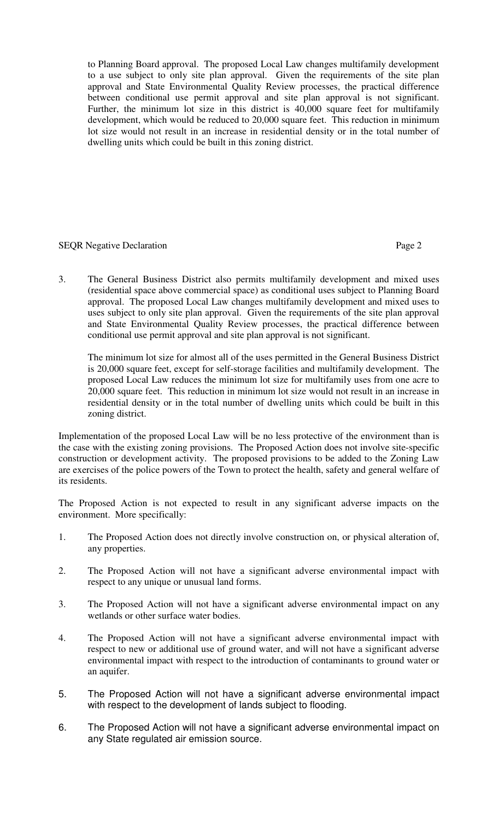to Planning Board approval. The proposed Local Law changes multifamily development to a use subject to only site plan approval. Given the requirements of the site plan approval and State Environmental Quality Review processes, the practical difference between conditional use permit approval and site plan approval is not significant. Further, the minimum lot size in this district is 40,000 square feet for multifamily development, which would be reduced to 20,000 square feet. This reduction in minimum lot size would not result in an increase in residential density or in the total number of dwelling units which could be built in this zoning district.

# SEOR Negative Declaration **Page 2** Page 2

3. The General Business District also permits multifamily development and mixed uses (residential space above commercial space) as conditional uses subject to Planning Board approval. The proposed Local Law changes multifamily development and mixed uses to uses subject to only site plan approval. Given the requirements of the site plan approval and State Environmental Quality Review processes, the practical difference between conditional use permit approval and site plan approval is not significant.

The minimum lot size for almost all of the uses permitted in the General Business District is 20,000 square feet, except for self-storage facilities and multifamily development. The proposed Local Law reduces the minimum lot size for multifamily uses from one acre to 20,000 square feet. This reduction in minimum lot size would not result in an increase in residential density or in the total number of dwelling units which could be built in this zoning district.

Implementation of the proposed Local Law will be no less protective of the environment than is the case with the existing zoning provisions. The Proposed Action does not involve site-specific construction or development activity. The proposed provisions to be added to the Zoning Law are exercises of the police powers of the Town to protect the health, safety and general welfare of its residents.

The Proposed Action is not expected to result in any significant adverse impacts on the environment. More specifically:

- 1. The Proposed Action does not directly involve construction on, or physical alteration of, any properties.
- 2. The Proposed Action will not have a significant adverse environmental impact with respect to any unique or unusual land forms.
- 3. The Proposed Action will not have a significant adverse environmental impact on any wetlands or other surface water bodies.
- 4. The Proposed Action will not have a significant adverse environmental impact with respect to new or additional use of ground water, and will not have a significant adverse environmental impact with respect to the introduction of contaminants to ground water or an aquifer.
- 5. The Proposed Action will not have a significant adverse environmental impact with respect to the development of lands subject to flooding.
- 6. The Proposed Action will not have a significant adverse environmental impact on any State regulated air emission source.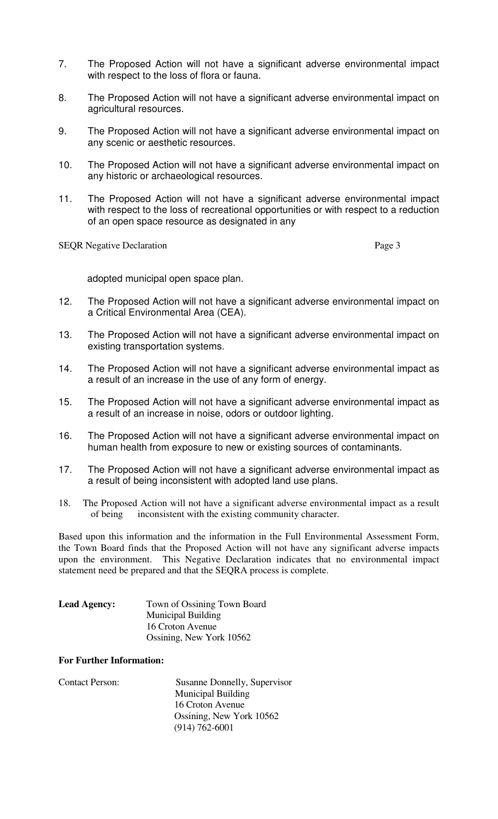- 7. The Proposed Action will not have a significant adverse environmental impact with respect to the loss of flora or fauna.
- 8. The Proposed Action will not have a significant adverse environmental impact on agricultural resources.
- 9. The Proposed Action will not have a significant adverse environmental impact on any scenic or aesthetic resources.
- 10. The Proposed Action will not have a significant adverse environmental impact on any historic or archaeological resources.
- 11. The Proposed Action will not have a significant adverse environmental impact with respect to the loss of recreational opportunities or with respect to a reduction of an open space resource as designated in any

SEQR Negative Declaration Page 3

adopted municipal open space plan.

- 12. The Proposed Action will not have a significant adverse environmental impact on a Critical Environmental Area (CEA).
- 13. The Proposed Action will not have a significant adverse environmental impact on existing transportation systems.
- 14. The Proposed Action will not have a significant adverse environmental impact as a result of an increase in the use of any form of energy.
- 15. The Proposed Action will not have a significant adverse environmental impact as a result of an increase in noise, odors or outdoor lighting.
- 16. The Proposed Action will not have a significant adverse environmental impact on human health from exposure to new or existing sources of contaminants.
- 17. The Proposed Action will not have a significant adverse environmental impact as a result of being inconsistent with adopted land use plans.
- 18. The Proposed Action will not have a significant adverse environmental impact as a result of being inconsistent with the existing community character.

Based upon this information and the information in the Full Environmental Assessment Form, the Town Board finds that the Proposed Action will not have any significant adverse impacts upon the environment. This Negative Declaration indicates that no environmental impact statement need be prepared and that the SEQRA process is complete.

| <b>Lead Agency:</b> | Town of Ossining Town Board |
|---------------------|-----------------------------|
|                     | <b>Municipal Building</b>   |
|                     | 16 Croton Avenue            |
|                     | Ossining, New York 10562    |

#### **For Further Information:**

| <b>Contact Person:</b> | Susanne Donnelly, Supervisor |
|------------------------|------------------------------|
|                        | <b>Municipal Building</b>    |
|                        | 16 Croton Avenue             |
|                        | Ossining, New York 10562     |
|                        | $(914) 762 - 6001$           |